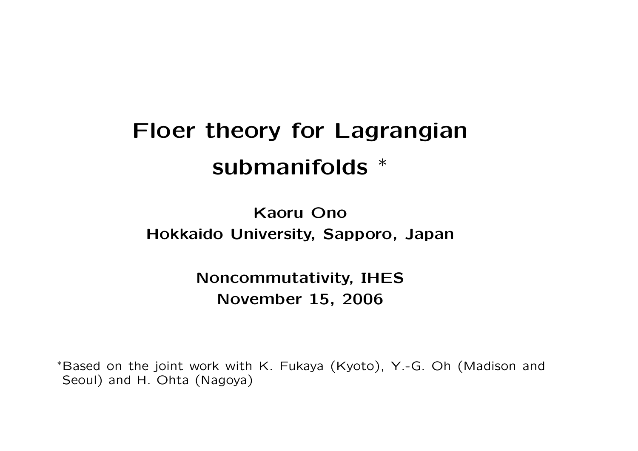# **Floer theory for Lagrangian submanifolds** *∗*

**Kaoru Ono Hokkaido University, Sapporo, Japan**

> **Noncommutativity, IHES November 15, 2006**

*<sup>∗</sup>*Based on the joint work with K. Fukaya (Kyoto), Y.-G. Oh (Madison and Seoul) and H. Ohta (Nagoya)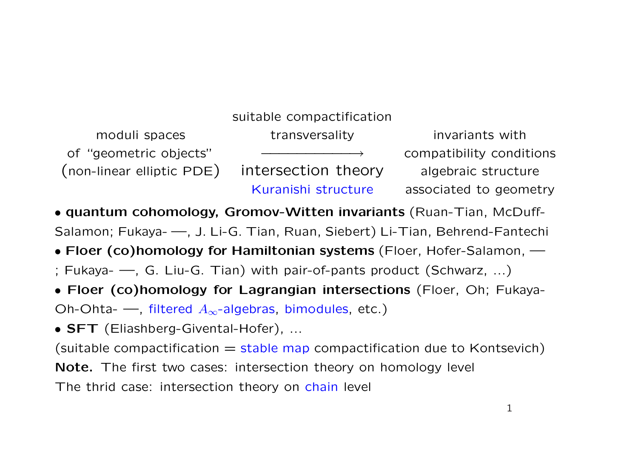## suitable compactification moduli spaces The transversality and transversion invariants with of "geometric objects" *−−−−−−−−−−→* compatibility conditions (non-linear elliptic PDE) intersection theory algebraic structure Kuranishi structure associated to geometry

*•* **quantum cohomology, Gromov-Witten invariants** (Ruan-Tian, McDuff-Salamon; Fukaya- —, J. Li-G. Tian, Ruan, Siebert) Li-Tian, Behrend-Fantechi

- *•* **Floer (co)homology for Hamiltonian systems** (Floer, Hofer-Salamon, —
- ; Fukaya- —, G. Liu-G. Tian) with pair-of-pants product (Schwarz, ...)
- *•* **Floer (co)homology for Lagrangian intersections** (Floer, Oh; Fukaya-

Oh-Ohta- —, filtered *A∞*-algebras, bimodules, etc.)

*•* **SFT** (Eliashberg-Givental-Hofer), ...

(suitable compactification  $=$  stable map compactification due to Kontsevich)

**Note.** The first two cases: intersection theory on homology level

The thrid case: intersection theory on chain level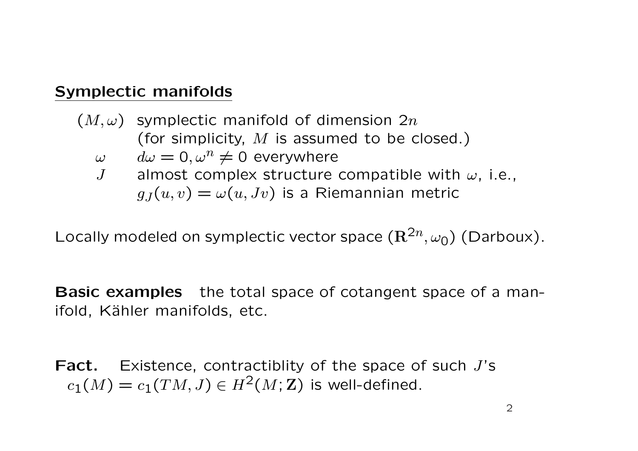#### **Symplectic manifolds**

(*M, ω*) symplectic manifold of dimension 2*n* (for simplicity, *M* is assumed to be closed.)  $\omega$   $d\omega = 0, \omega^n \neq 0$  everywhere *J* almost complex structure compatible with *ω*, i.e.,  $g_J(u, v) = \omega(u, Jv)$  is a Riemannian metric

Locally modeled on symplectic vector space  $(\mathbb{R}^{2n}, \omega_0)$  (Darboux).

**Basic examples** the total space of cotangent space of a manifold, Kähler manifolds, etc.

**Fact.** Existence, contractiblity of the space of such *J*'s  $c_1(M) = c_1(TM, J) \in H^2(M; \mathbb{Z})$  is well-defined.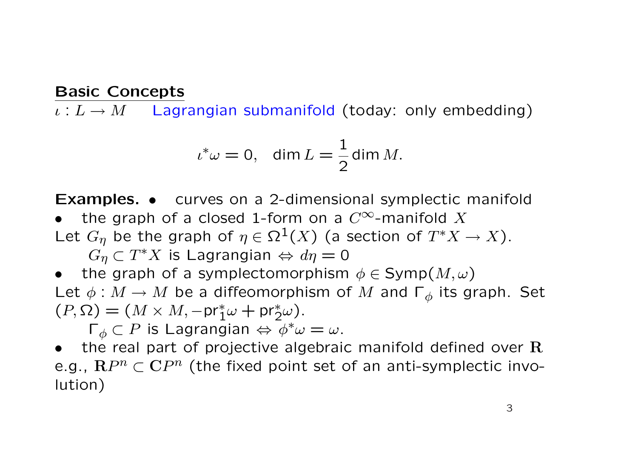#### **Basic Concepts**

*ι* : *L → M* Lagrangian submanifold (today: only embedding)

$$
\iota^*\omega = 0, \quad \dim L = \frac{1}{2} \dim M.
$$

**Examples.** *•* curves on a 2-dimensional symplectic manifold

- the graph of a closed 1-form on a  $C^{\infty}$ -manifold X
- Let  $G_{\eta}$  be the graph of  $\eta \in \Omega^{1}(X)$  (a section of  $T^{*}X \to X$ ).

 $G_{\eta} \subset T^*X$  is Lagrangian  $\Leftrightarrow d\eta = 0$ 

*the graph of a symplectomorphism*  $\phi \in \text{Symp}(M, \omega)$ Let  $\phi : M \to M$  be a diffeomorphism of M and  $\Gamma_{\phi}$  its graph. Set  $(P, \Omega) = (M \times M, -pr_1^*\omega + pr_2^*\omega).$ 

 $\Gamma_{\phi} \subset P$  is Lagrangian  $\Leftrightarrow$   $\phi^* \omega = \omega$ .

*•* the real part of projective algebraic manifold defined over **R** e.g., **R***P <sup>n</sup> ⊂* **C***P n* (the fixed point set of an anti-symplectic involution)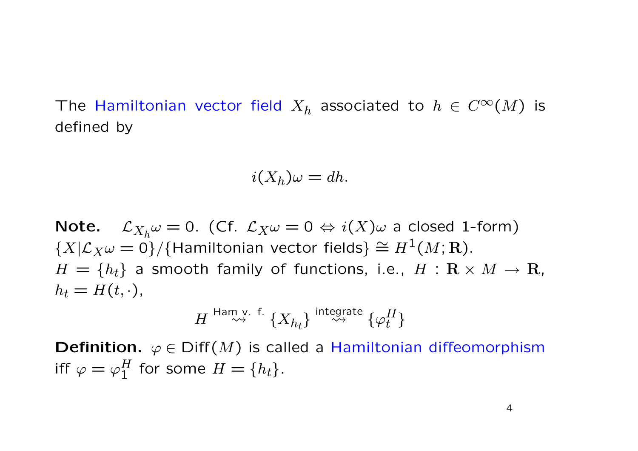The Hamiltonian vector field  $X_h$  associated to  $h \in C^\infty(M)$  is defined by

$$
i(X_h)\omega = dh.
$$

**Note.**  $\mathcal{L}_{X_h} \omega = 0$ . (Cf.  $\mathcal{L}_X \omega = 0 \Leftrightarrow i(X) \omega$  a closed 1-form)  $\{X | \mathcal{L}_X \omega = 0\}$ / $\{$ Hamiltonian vector fields $\} \cong H^1(M; \mathbf{R})$ .  $H = \{h_t\}$  a smooth family of functions, i.e.,  $H : \mathbf{R} \times M \to \mathbf{R}$ ,  $h_t = H(t, \cdot),$ 

$$
H \overset{\text{Ham v. f.}}{\rightsquigarrow} \{X_{h_t}\} \overset{\text{integrate}}{\rightsquigarrow} \{\varphi^H_t\}
$$

**Definition.**  $\varphi \in \text{Diff}(M)$  is called a Hamiltonian diffeomorphism iff  $\varphi = \varphi_1^H$  for some  $H = \{h_t\}.$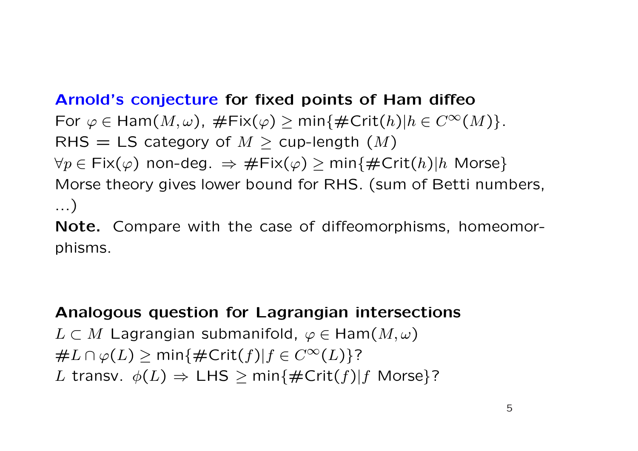#### **Arnold's conjecture for fixed points of Ham diffeo**

 $\forall$  *For*  $\varphi \in \text{Ham}(M, \omega)$ ,  $\#\text{Fix}(\varphi) > \min{\{\#\text{Crit}(h)|h \in C^{\infty}(M)\}}$ . RHS  $=$  LS category of  $M >$  cup-length  $(M)$  $\forall p \in \text{Fix}(\varphi)$  non-deg.  $\Rightarrow \# \text{Fix}(\varphi) \ge \min\{\# \text{Crit}(h) | h \text{ Morse}\}$ Morse theory gives lower bound for RHS. (sum of Betti numbers, ...)

**Note.** Compare with the case of diffeomorphisms, homeomorphisms.

### **Analogous question for Lagrangian intersections**

*L ⊂ M* Lagrangian submanifold, *ϕ ∈* Ham(*M, ω*)  $\#L \cap \varphi(L) \ge \min\{\#\text{Crit}(f) | f \in C^{\infty}(L)\}$ ? *L* transv.  $\phi(L) \Rightarrow \text{LHS} \ge \min\{\#\text{Crit}(f) | f \text{ Morse}\}$ ?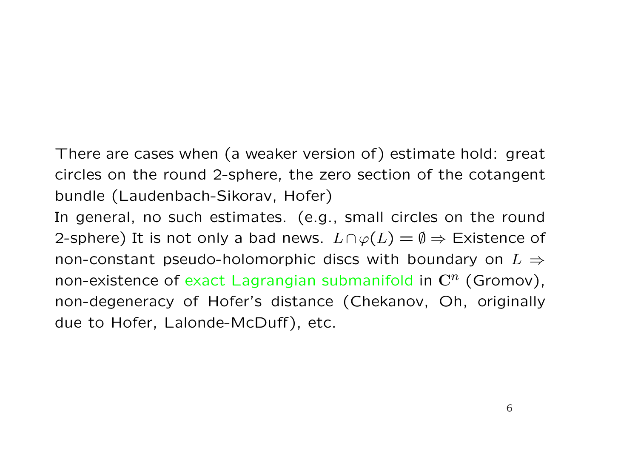There are cases when (a weaker version of) estimate hold: great circles on the round 2-sphere, the zero section of the cotangent bundle (Laudenbach-Sikorav, Hofer)

In general, no such estimates. (e.g., small circles on the round 2-sphere) It is not only a bad news.  $L \cap \varphi(L) = \emptyset \Rightarrow$  Existence of non-constant pseudo-holomorphic discs with boundary on *L ⇒* non-existence of exact Lagrangian submanifold in **C***<sup>n</sup>* (Gromov), non-degeneracy of Hofer's distance (Chekanov, Oh, originally due to Hofer, Lalonde-McDuff), etc.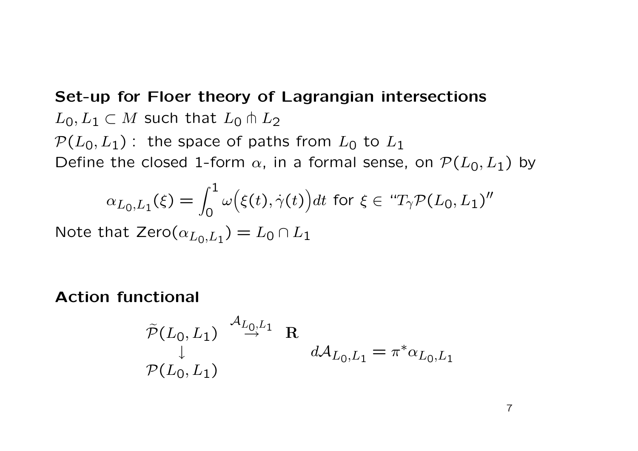**Set-up for Floer theory of Lagrangian intersections**  $L_0, L_1$  ⊂ *M* such that  $L_0$   $\pitchfork$   $L_2$  $P(L_0, L_1)$ : the space of paths from  $L_0$  to  $L_1$ Define the closed 1-form  $\alpha$ , in a formal sense, on  $\mathcal{P}(L_0, L_1)$  by

$$
\alpha_{L_0, L_1}(\xi) = \int_0^1 \omega\big(\xi(t), \dot{\gamma}(t)\big) dt \text{ for } \xi \in \text{``}T_{\gamma} \mathcal{P}(L_0, L_1)\text{''}
$$

Note that  $\text{Zero}(\alpha_{L_0,L_1}) = L_0 \cap L_1$ 

**Action functional**

$$
\tilde{\mathcal{P}}(L_0, L_1) \stackrel{\mathcal{A}_{L_0, L_1}}{\rightarrow} \mathbf{R}
$$
  
\n
$$
\downarrow d\mathcal{A}_{L_0, L_1} = \pi^* \alpha_{L_0, L_1}
$$
  
\n
$$
\mathcal{P}(L_0, L_1)
$$

7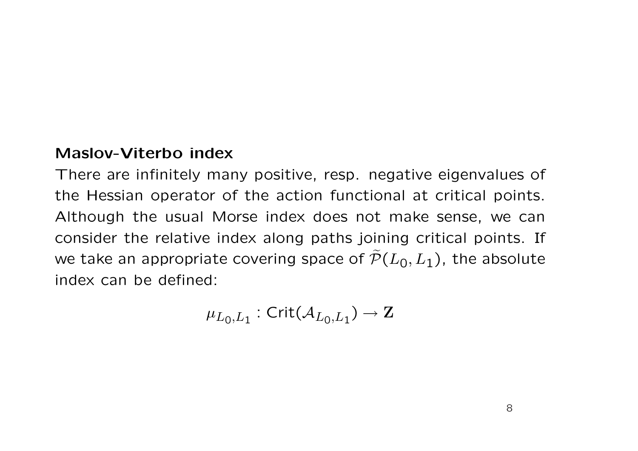#### **Maslov-Viterbo index**

There are infinitely many positive, resp. negative eigenvalues of the Hessian operator of the action functional at critical points. Although the usual Morse index does not make sense, we can consider the relative index along paths joining critical points. If we take an appropriate covering space of  $\widetilde{\mathcal{P}}(L_0, L_1)$ , the absolute index can be defined:

$$
\mu_{L_0,L_1}:\mathsf{Crit}(\mathcal{A}_{L_0,L_1})\to\mathbf{Z}
$$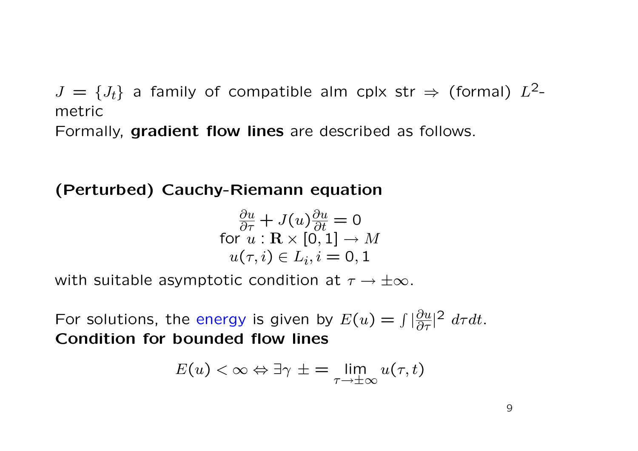$J = \{J_t\}$  a family of compatible alm cplx str  $\Rightarrow$  (formal)  $L^2$ metric

Formally, **gradient flow lines** are described as follows.

**(Perturbed) Cauchy-Riemann equation**

$$
\frac{\partial u}{\partial \tau} + J(u)\frac{\partial u}{\partial t} = 0
$$
\nfor  $u : \mathbf{R} \times [0, 1] \to M$   
\n $u(\tau, i) \in L_i, i = 0, 1$ 

with suitable asymptotic condition at *τ → ±∞*.

For solutions, the energy is given by  $E(u) = \int |\frac{\partial u}{\partial \tau}|^2 d\tau dt$ . **Condition for bounded flow lines**

$$
E(u) < \infty \Leftrightarrow \exists \gamma \pm \frac{1}{\tau} \lim_{\tau \to \pm \infty} u(\tau, t)
$$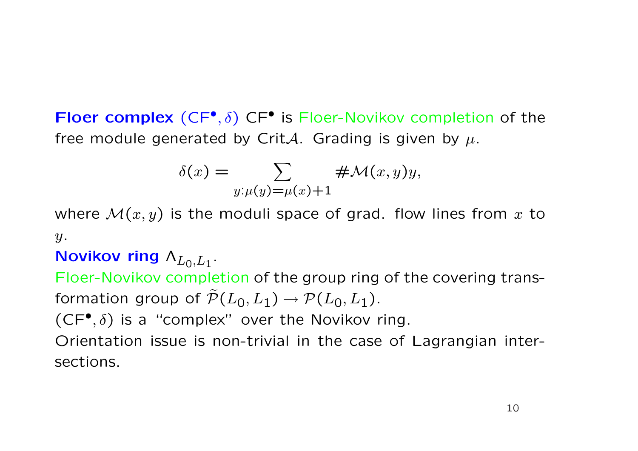**Floer complex** (CF*• , δ*) CF*•* is Floer-Novikov completion of the free module generated by Crit*A*. Grading is given by  $\mu$ .

$$
\delta(x) = \sum_{y:\mu(y) = \mu(x)+1} \# \mathcal{M}(x, y)y,
$$

where *M*(*x, y*) is the moduli space of grad. flow lines from *x* to *y*.

## **Novikov ring**  $Λ$ <sub>*L*0</sub>,*L*<sub>1</sub>.

Floer-Novikov completion of the group ring of the covering transformation group of  $\widetilde{\mathcal{P}}(L_0, L_1) \rightarrow \mathcal{P}(L_0, L_1)$ .

 $(CF^{\bullet}, \delta)$  is a "complex" over the Novikov ring.

Orientation issue is non-trivial in the case of Lagrangian intersections.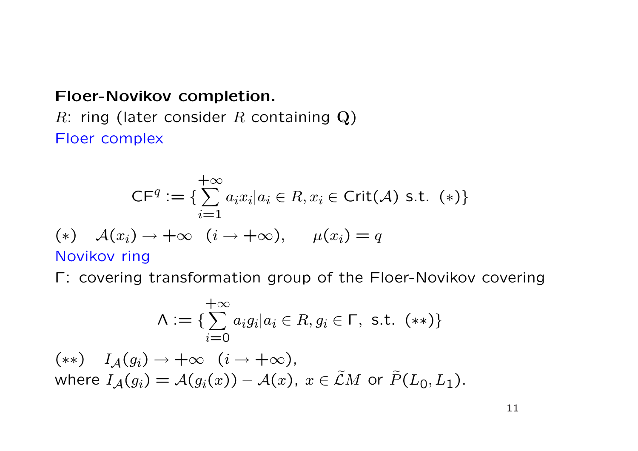#### **Floer-Novikov completion.**

*R*: ring (later consider *R* containing **Q**) Floer complex

$$
CFq := \{ \sum_{i=1}^{+\infty} a_i x_i | a_i \in R, x_i \in Crit(A) \text{ s.t. } (*) \}
$$
  
(\*)  $A(x_i) \to +\infty \quad (i \to +\infty), \quad \mu(x_i) = q$   
Novikov ring

Γ: covering transformation group of the Floer-Novikov covering

$$
\Lambda := \{ \sum_{i=0}^{+\infty} a_i g_i | a_i \in R, g_i \in \Gamma, \text{ s.t. } (**) \}
$$

 $(x*)$   $I_A(g_i) \rightarrow +\infty$   $(i \rightarrow +\infty)$ , where  $I_A(g_i) = \mathcal{A}(g_i(x)) - \mathcal{A}(x)$ ,  $x \in \tilde{\mathcal{L}}M$  or  $\tilde{P}(L_0, L_1)$ .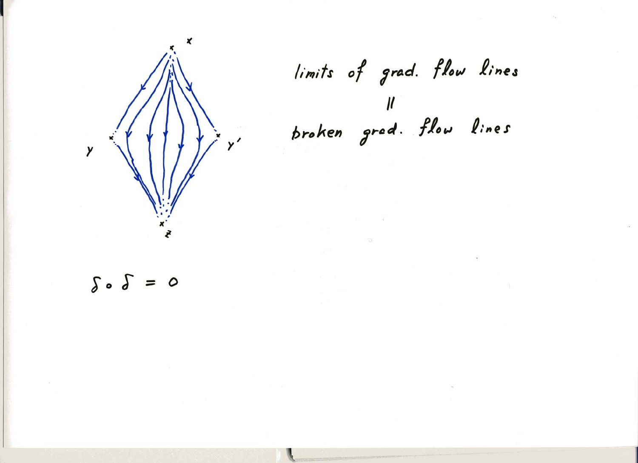

limits of grad. flow lines Il<br>broken gred. flow lines

 $\delta \cdot \delta = 0$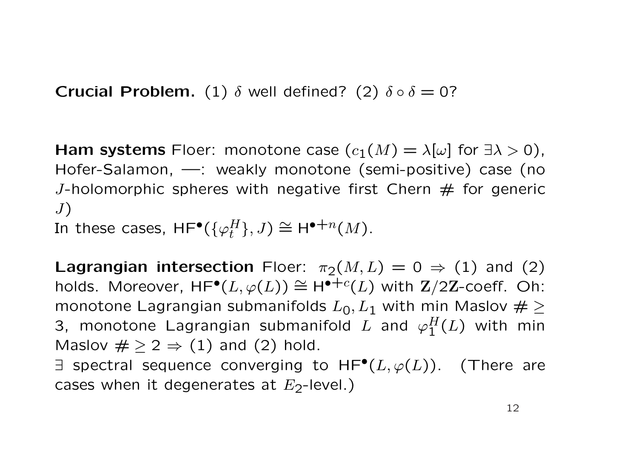**Crucial Problem.** (1)  $\delta$  well defined? (2)  $\delta \circ \delta = 0$ ?

**Ham systems** Floer: monotone case  $(c_1(M) = \lambda[\omega]$  for  $\exists \lambda > 0$ ), Hofer-Salamon, —: weakly monotone (semi-positive) case (no *J*-holomorphic spheres with negative first Chern  $#$  for generic *J*)

In these cases,  $\mathsf{HF}^\bullet(\{\varphi^H_t\},J) \cong \mathsf{H}^{\bullet+n}(M).$ 

**Lagrangian intersection** Floer:  $\pi_2(M, L) = 0 \Rightarrow (1)$  and (2)  $\dots$  Moreover,  $HF^{\bullet}(L, \varphi(L)) \cong H^{\bullet+c}(L)$  with  $\mathbf{Z}/2\mathbf{Z}$ -coeff. Oh: monotone Lagrangian submanifolds  $L_0, L_1$  with min Maslov  $\# \geq$ 3, monotone Lagrangian submanifold  $L$  and  $\varphi_1^H(L)$  with min Maslov  $\# \geq 2 \Rightarrow (1)$  and (2) hold.

*∃* spectral sequence converging to HF*•*(*L, ϕ*(*L*)). (There are cases when it degenerates at  $E_2$ -level.)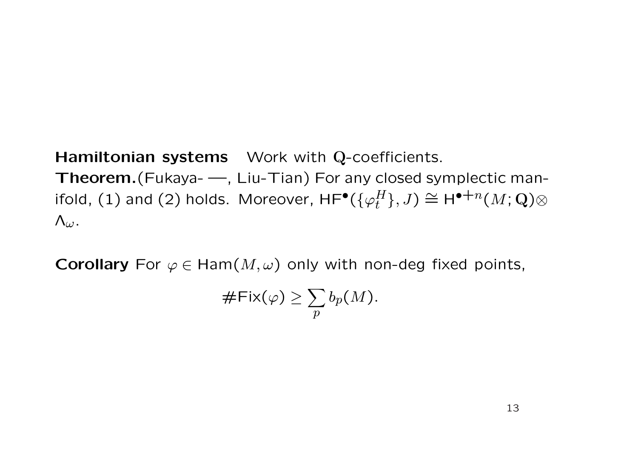#### **Hamiltonian systems** Work with **Q**-coefficients.

**Theorem.**(Fukaya- —, Liu-Tian) For any closed symplectic manifold, (1) and (2) holds. Moreover,  $\mathsf{HF}^\bullet(\{\varphi^H_t\},J) \cong \mathsf{H}^{\bullet+n}(M;{\mathbf Q})\otimes$ Λ*ω*.

**Corollary** For  $\varphi \in \text{Ham}(M, \omega)$  only with non-deg fixed points,

$$
\#Fix(\varphi)\geq \sum_{p}b_p(M).
$$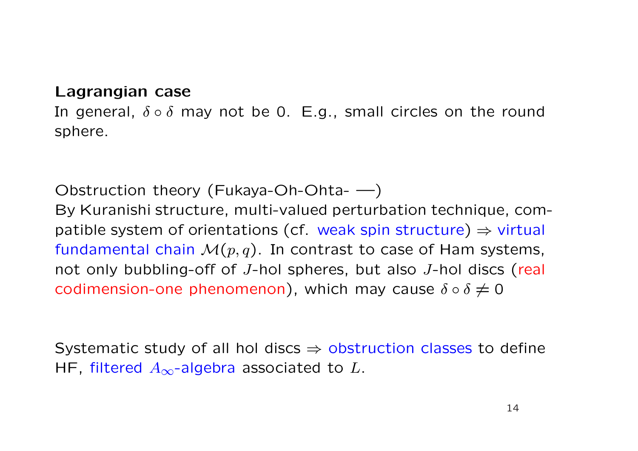#### **Lagrangian case**

In general, *δ ◦ δ* may not be 0. E.g., small circles on the round sphere.

Obstruction theory (Fukaya-Oh-Ohta- —)

By Kuranishi structure, multi-valued perturbation technique, compatible system of orientations (cf. weak spin structure) *⇒* virtual fundamental chain  $\mathcal{M}(p,q)$ . In contrast to case of Ham systems, not only bubbling-off of *J*-hol spheres, but also *J*-hol discs (real codimension-one phenomenon), which may cause  $\delta \circ \delta \neq 0$ 

Systematic study of all hol discs *⇒* obstruction classes to define HF, filtered *A∞*-algebra associated to *L*.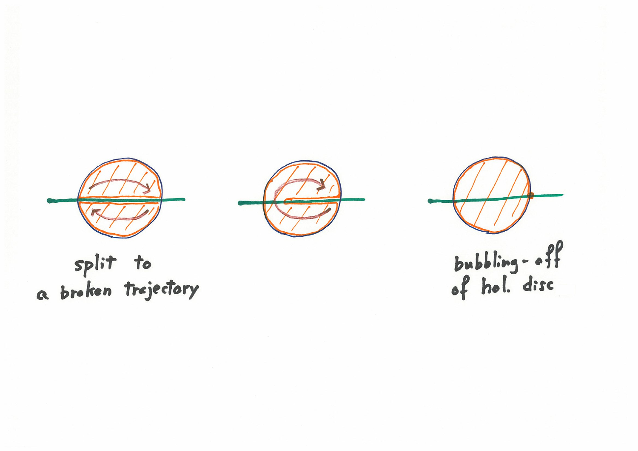



bubbling-off<br>of hol. disc

split to a broken trejectory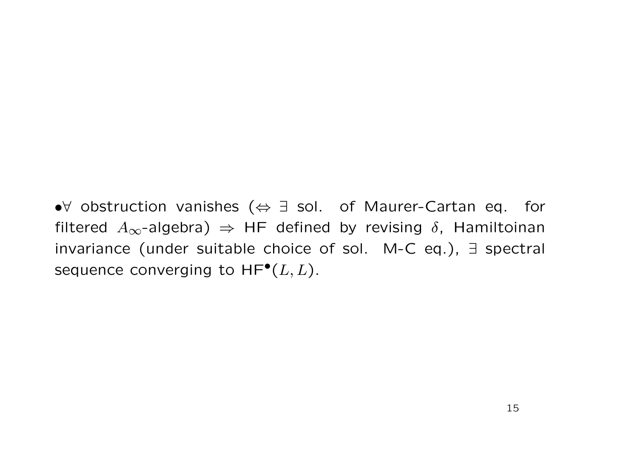*•∀* obstruction vanishes (*⇔ ∃* sol. of Maurer-Cartan eq. for filtered  $A_{\infty}$ -algebra)  $\Rightarrow$  HF defined by revising  $\delta$ , Hamiltoinan invariance (under suitable choice of sol. M-C eq.), *∃* spectral sequence converging to HF*•*(*L, L*).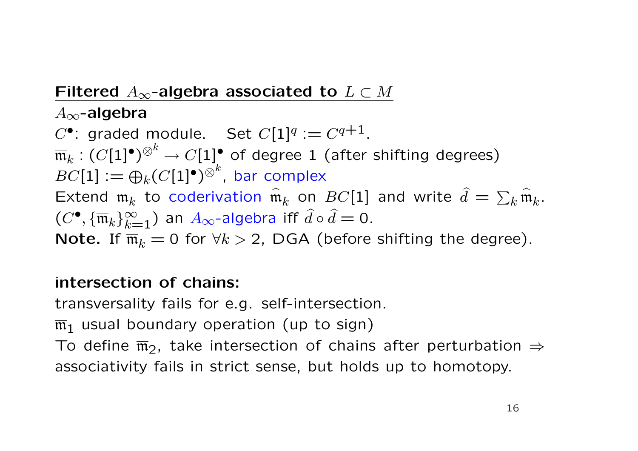## Filtered  $A_{\infty}$ -algebra associated to  $L \subset M$

*A∞***-algebra**

 $C^{\bullet}$ : graded module. Set  $C[1]^{q} := C^{q+1}$ .  $\overline{\mathfrak{m}}_k: (C[1]^\bullet)^{\otimes^k} \to C[1]^\bullet$  of degree 1 (after shifting degrees)  $BC[1] := \bigoplus_k (C[1]^\bullet)^{\otimes^k}$ , bar complex Extend  $\overline{\mathfrak{m}}_k$  to coderivation  $\widehat{\overline{\mathfrak{m}}}_k$  on  $BC[1]$  and write  $\widehat{d} = \sum_k \widehat{\overline{\mathfrak{m}}}_k$ .  $(C^{\bullet}, {\{\overline{\mathfrak{m}}_k\}_{k=1}^{\infty}})$  an  $A_{\infty}$ -algebra iff  $\hat{d} \circ \hat{d} = 0$ . **Note.** If  $\overline{m}_k = 0$  for  $\forall k > 2$ , DGA (before shifting the degree).

## **intersection of chains:**

transversality fails for e.g. self-intersection.

 $\overline{m}_1$  usual boundary operation (up to sign)

To define  $\overline{m}_2$ , take intersection of chains after perturbation  $\Rightarrow$ associativity fails in strict sense, but holds up to homotopy.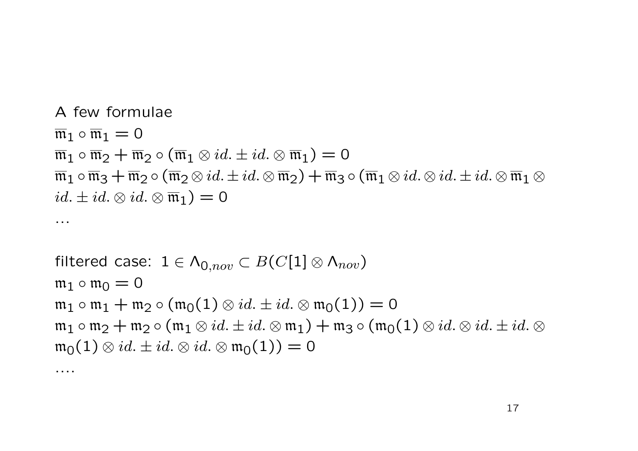A few formulae  $\overline{\mathfrak{m}}_1 \circ \overline{\mathfrak{m}}_1 = 0$  $\overline{\mathfrak{m}}_1 \circ \overline{\mathfrak{m}}_2 + \overline{\mathfrak{m}}_2 \circ (\overline{\mathfrak{m}}_1 \otimes id. \pm id. \otimes \overline{\mathfrak{m}}_1) = 0$  $\overline{\mathfrak{m}}_1 \circ \overline{\mathfrak{m}}_3 + \overline{\mathfrak{m}}_2 \circ (\overline{\mathfrak{m}}_2 \otimes id. \pm id. \otimes \overline{\mathfrak{m}}_2) + \overline{\mathfrak{m}}_3 \circ (\overline{\mathfrak{m}}_1 \otimes id. \otimes id. \pm id. \otimes \overline{\mathfrak{m}}_1 \otimes id.$  $id. \pm id. \otimes id. \otimes \overline{\mathfrak{m}}_1$ ) = 0

...

....

filtered case: 
$$
1 \in \Lambda_{0,nov} \subset B(C[1] \otimes \Lambda_{nov})
$$
  
\n $m_1 \circ m_0 = 0$   
\n $m_1 \circ m_1 + m_2 \circ (m_0(1) \otimes id. \pm id. \otimes m_0(1)) = 0$   
\n $m_1 \circ m_2 + m_2 \circ (m_1 \otimes id. \pm id. \otimes m_1) + m_3 \circ (m_0(1) \otimes id. \otimes id. \pm id. \otimes m_0(1) \otimes id. \pm id. \otimes m_0(1)) = 0$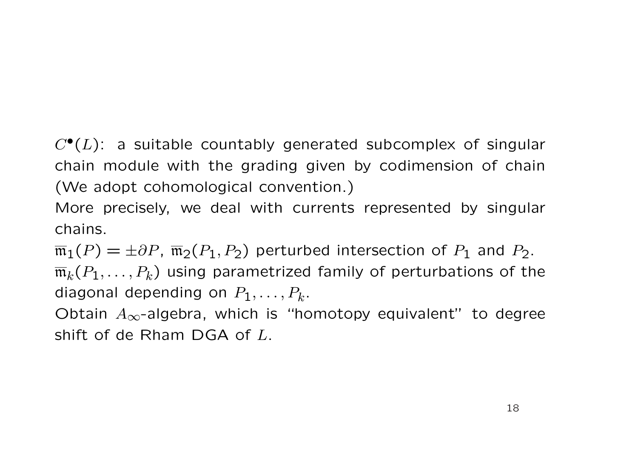*C•*(*L*): a suitable countably generated subcomplex of singular chain module with the grading given by codimension of chain (We adopt cohomological convention.)

More precisely, we deal with currents represented by singular chains.

 $\overline{\mathfrak{m}}_1(P) = \pm \partial P$ ,  $\overline{\mathfrak{m}}_2(P_1, P_2)$  perturbed intersection of  $P_1$  and  $P_2$ .  $\overline{\mathfrak{m}}_k(P_1,\ldots,P_k)$  using parametrized family of perturbations of the diagonal depending on *P*1*, . . . , P<sup>k</sup>* .

Obtain *A∞*-algebra, which is "homotopy equivalent" to degree shift of de Rham DGA of *L*.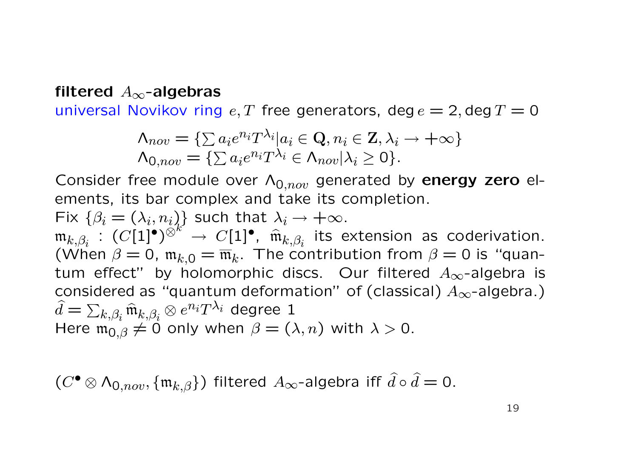#### **filtered** *A∞***-algebras**

universal Novikov ring  $e, T$  free generators, deg  $e = 2$ , deg  $T = 0$ 

$$
\Lambda_{nov} = \{ \sum a_i e^{n_i} T^{\lambda_i} | a_i \in \mathbf{Q}, n_i \in \mathbf{Z}, \lambda_i \to +\infty \}
$$

$$
\Lambda_{0,nov} = \{ \sum a_i e^{n_i} T^{\lambda_i} \in \Lambda_{nov} | \lambda_i \ge 0 \}.
$$

Consider free module over Λ0*,nov* generated by **energy zero** elements, its bar complex and take its completion.

Fix  $\{\beta_i = (\lambda_i, n_i)\}$  such that  $\lambda_i \to +\infty$ .  $\mathfrak{m}_{k,\beta_i}$  :  $(C[1]^\bullet)^{\otimes k'} \to C[1]^\bullet$ ,  $\hat{\mathfrak{m}}_{k,\beta_i}$  its extension as coderivation. (When  $\beta = 0$ ,  $\mathfrak{m}_{k,0} = \overline{\mathfrak{m}}_k$ . The contribution from  $\beta = 0$  is "quantum effect" by holomorphic discs. Our filtered *A∞*-algebra is considered as "quantum deformation" of (classical) *A∞*-algebra.)  $\hat{d} = \sum$  $\hat{h}_{k,\beta_{i}}$   $\widehat{\mathfrak{m}}_{k,\beta_{i}}$   $\otimes$   $e^{n_{i}}T^{\lambda_{i}}$  degree  $1$ Here  $\mathfrak{m}_{0,\beta} \neq 0$  only when  $\beta = (\lambda, n)$  with  $\lambda > 0$ .

 $(C^{\bullet} \otimes \Lambda_{0,nov}, \{\mathfrak{m}_{k,\beta}\})$  filtered  $A_{\infty}$ -algebra iff  $\widehat{d} \circ \widehat{d} = 0$ .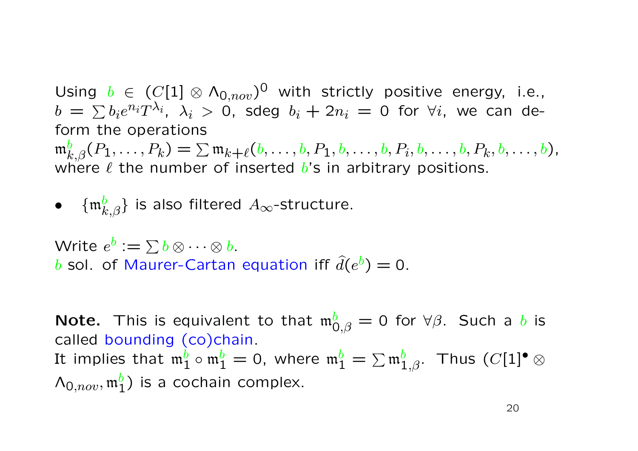Using  $b \in (C[1] \otimes \Lambda_{0,nov})^0$  with strictly positive energy, i.e.,  $b\ =\ \sum b_i e^{n_i} T^{\lambda_i},\ \lambda_i\ >\ 0,\ \ \text{sdeg}\ \ b_i\ +\ 2n_i\ =\ 0\ \ \text{for}\ \ \forall i,\ \ \text{we\ can\ de-}$ form the operations  $\mathfrak{m}_{k,\beta}^b(P_1,\ldots,P_k)=\sum \mathfrak{m}_{k+\ell}(b,\ldots,b,P_1,b,\ldots,b,P_i,b,\ldots,b,P_k,b,\ldots,b),$ 

where  $\ell$  the number of inserted  $\ell$ 's in arbitrary positions.

• 
$$
\{\mathfrak{m}_{k,\beta}^b\}
$$
 is also filtered  $A_{\infty}$ -structure.

Write  $e^b := \sum b \otimes \cdots \otimes b.$ *b* sol. of Maurer-Cartan equation iff  $\hat{d}(e^{b}) = 0$ .

**Note.** This is equivalent to that  $\mathfrak{m}_{0,\beta}^b = 0$  for  $\forall \beta$ . Such a *b* is called bounding (co)chain. It implies that  $\mathfrak{m}_1^b\circ\mathfrak{m}_1^b=0$ , where  $\mathfrak{m}_1^b=\sum\mathfrak{m}_{1,\beta}^b.$  Thus  $(C[1]^\bullet\otimes$  $\Lambda_{0,nov}, \mathfrak{m}_1^b$ ) is a cochain complex.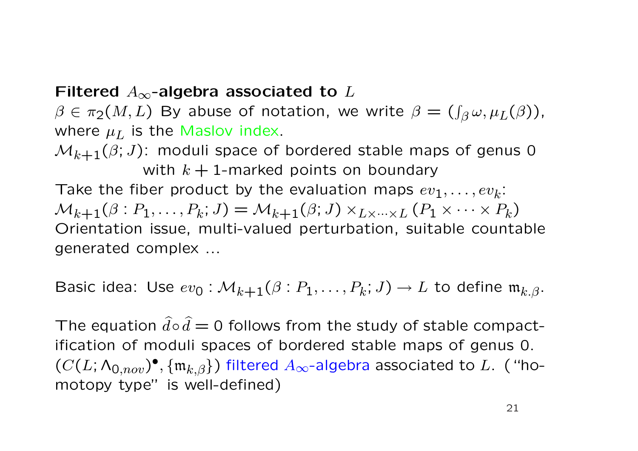#### **Filtered** *A∞***-algebra associated to** *L*

 $\beta \in \pi_2(M,L)$  By abuse of notation, we write  $\beta = (\int_{\beta} \omega, \mu_L(\beta))$ , where  $\mu_L$  is the Maslov index.

 $M_{k+1}(\beta; J)$ : moduli space of bordered stable maps of genus 0 with  $k + 1$ -marked points on boundary Take the fiber product by the evaluation maps  $ev_1, \ldots, ev_k$ :  $\mathcal{M}_{k+1}(\beta : P_1, \ldots, P_k; J) = \mathcal{M}_{k+1}(\beta; J) \times_{L \times \cdots \times L} (P_1 \times \cdots \times P_k)$ Orientation issue, multi-valued perturbation, suitable countable generated complex ...

Basic idea: Use  $ev_0: \mathcal{M}_{k+1}(\beta : P_1, \ldots, P_k; J) \to L$  to define  $\mathfrak{m}_{k,\beta}$ .

The equation  $\hat{d} \circ \hat{d} = 0$  follows from the study of stable compactification of moduli spaces of bordered stable maps of genus 0.  $(C(L; \Lambda_{0,nov})^{\bullet}, \{\mathfrak{m}_{k,\beta}\})$  filtered  $A_{\infty}$ -algebra associated to  $L$ . ("homotopy type" is well-defined)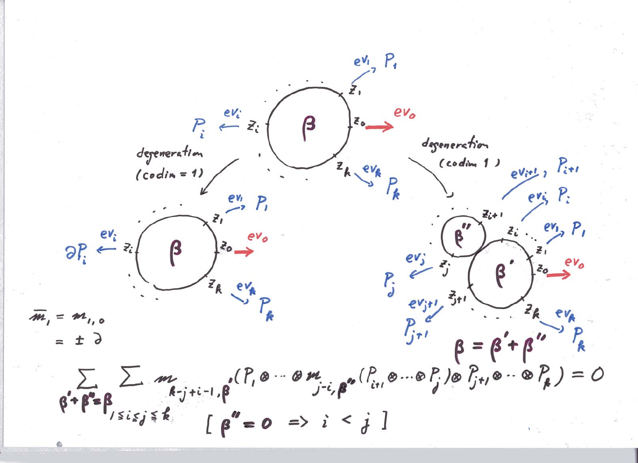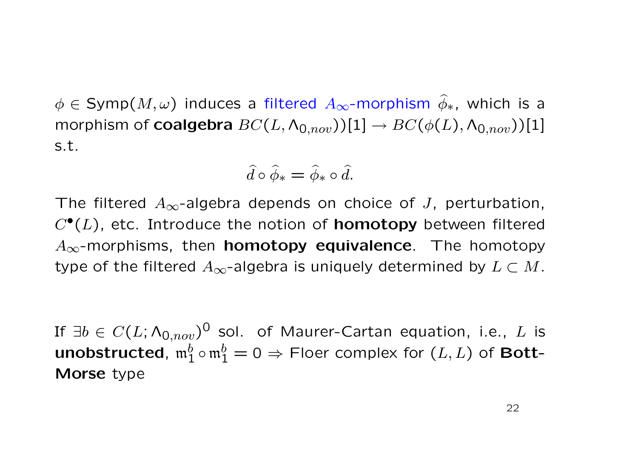$\phi \in \text{Symp}(M, \omega)$  induces a filtered  $A_{\infty}$ -morphism  $\widehat{\phi}_*$ , which is a morphism of **coalgebra**  $BC(L, \Lambda_{0,nov}))[1] \rightarrow BC(\phi(L), \Lambda_{0,nov}))[1]$ s.t.

$$
\widehat{d} \circ \widehat{\phi}_* = \widehat{\phi}_* \circ \widehat{d}.
$$

The filtered *A∞*-algebra depends on choice of *J*, perturbation, *C•*(*L*), etc. Introduce the notion of **homotopy** between filtered *A∞*-morphisms, then **homotopy equivalence**. The homotopy type of the filtered  $A_{\infty}$ -algebra is uniquely determined by  $L \subset M$ .

If *∃b ∈ C*(*L*; Λ0*,nov*) <sup>0</sup> sol. of Maurer-Cartan equation, i.e., *L* is  ${\sf unobstructed},\ {\frak m}_1^b\circ{\frak m}_1^b=0\Rightarrow$  Floer complex for  $(L,L)$  of  ${\sf Bott-}$ **Morse** type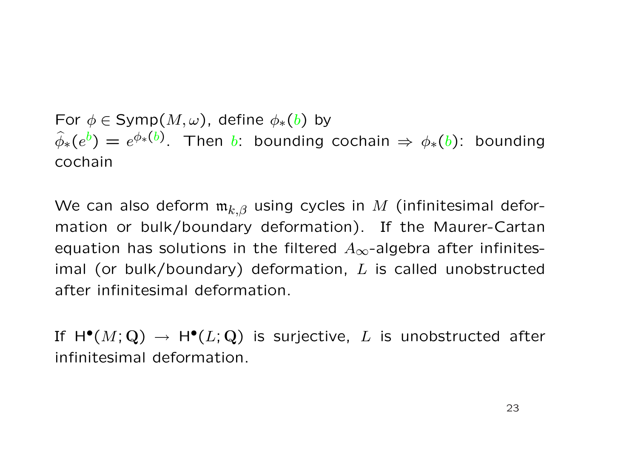For  $\phi \in \text{Symp}(M, \omega)$ , define  $\phi_*(b)$  by  $\widehat{\phi}_*(e^b) = e^{\phi_*(b)}$ . Then *b*: bounding cochain  $\Rightarrow \phi_*(b)$ : bounding cochain

We can also deform  $\mathfrak{m}_{k,\beta}$  using cycles in *M* (infinitesimal deformation or bulk/boundary deformation). If the Maurer-Cartan equation has solutions in the filtered *A∞*-algebra after infinitesimal (or bulk/boundary) deformation, *L* is called unobstructed after infinitesimal deformation.

If  $H^{\bullet}(M; \mathbf{Q}) \to H^{\bullet}(L; \mathbf{Q})$  is surjective, L is unobstructed after infinitesimal deformation.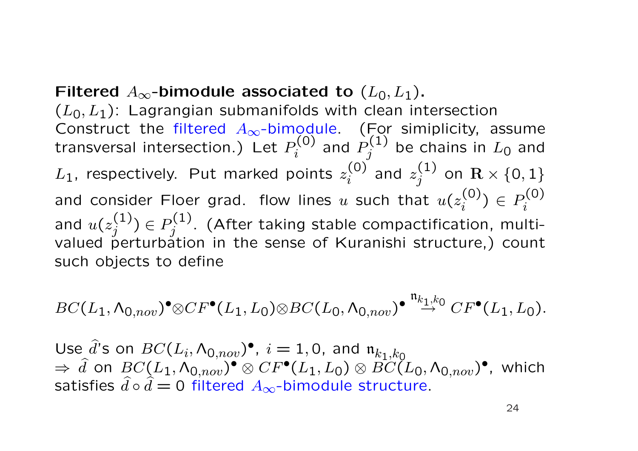**Filtered**  $A_{\infty}$ -bimodule associated to  $(L_0, L_1)$ .

(*L*0*, L*1): Lagrangian submanifolds with clean intersection Construct the filtered A<sub>∞</sub>-bimodule. (For simiplicity, assume transversal intersection.) Let  $P_i^{(0)}$  $P^{(\mathsf{0})}_i$  and  $P^{(\mathsf{1})}_j$  $j^{(1)}$  be chains in  $L_0$  and  $L_1$ , respectively. Put marked points  $z_i^{(0)}$  $\binom{(0)}{i}$  and  $z^{(1)}_j$  $j^{(1)}$  on  $\mathbf{R}\times\{0,1\}$ and consider Floer grad. flow lines  $u$  such that  $u(z_i^{(0)})$  $p_i^{(0)}$  *j* ∈ *P*<sub>*i*</sub><sup>(0)</sup> *i* and  $u(z_i^{(1)})$  $\binom{1}{j}$  ∈  $P_j^{(1)}$  $g_j^{(1)}$ . (After taking stable compactification, multivalued perturbation in the sense of Kuranishi structure,) count such objects to define

$$
BC(L_1, \Lambda_{0,nov})^{\bullet} \otimes CF^{\bullet}(L_1, L_0) \otimes BC(L_0, \Lambda_{0,nov})^{\bullet} \stackrel{\mathfrak{n}_{k_1,k_0}}{\rightarrow} CF^{\bullet}(L_1, L_0).
$$

Use  $\hat{d}$ 's on  $BC(L_i, \Lambda_{0,nov})$ <sup> $\bullet$ </sup>,  $i = 1, 0$ , and  $\mathfrak{n}_{k_1, k_0}$  $\Rightarrow$   $\widehat{d}$  on  $BC(L_1, \Lambda_{0,nov})^{\bullet} \otimes CF^{\bullet}(L_1,L_0) \otimes \widehat{BC(L_0, \Lambda_{0,nov})^{\bullet}},$  which satisfies  $\hat{d} \circ \hat{d} = 0$  filtered  $A_{\infty}$ -bimodule structure.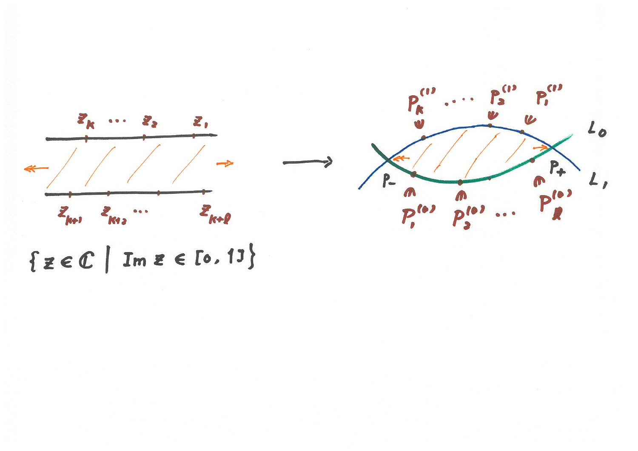



 $\{z \in C \mid Im z \in [0, 13]\}$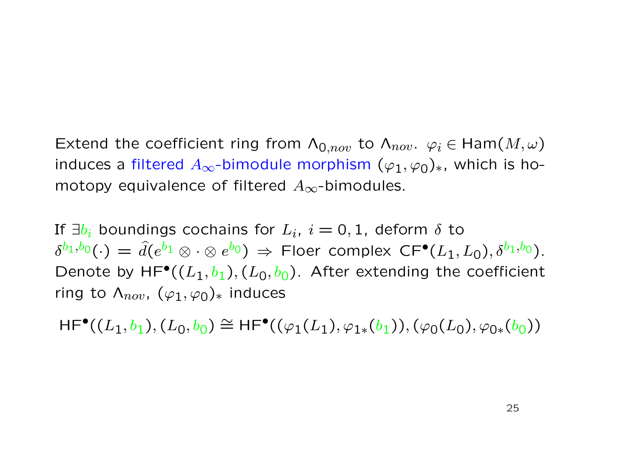Extend the coefficient ring from  $\Lambda_{0,nov}$  to  $\Lambda_{nov}$ .  $\varphi_i \in \text{Ham}(M,\omega)$ induces a filtered  $A_{\infty}$ -bimodule morphism  $(\varphi_1, \varphi_0)_*$ , which is homotopy equivalence of filtered *A∞*-bimodules.

If  $\exists b_i$  boundings cochains for  $L_i$ ,  $i=0,1$ , deform  $\delta$  to  $\delta^{b_1, b_0}(\cdot) = \hat{d}(e^{b_1} \otimes \cdot \otimes e^{b_0}) \Rightarrow$  Floer complex  $\mathsf{CF}^\bullet(L_1, L_0), \delta^{b_1, b_0}).$ Denote by  $HF^{\bullet}((L_1, b_1), (L_0, b_0)$ . After extending the coefficient ring to  $\Lambda_{nov}$ ,  $(\varphi_1, \varphi_0)_*$  induces

 $HF^{\bullet}((L_1, b_1), (L_0, b_0) \cong HF^{\bullet}((\varphi_1(L_1), \varphi_{1*}(b_1)), (\varphi_0(L_0), \varphi_{0*}(b_0))$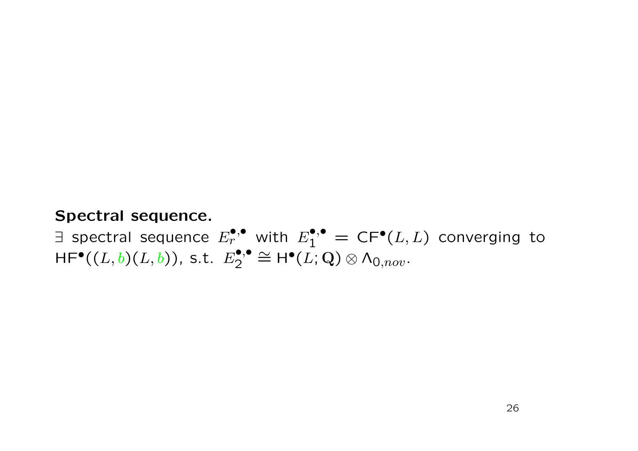#### **Spectral sequence.**

∃ spectral sequence  $E_r^{•,•}$  with  $E_1^{•,•} =$  CF<sup>•</sup>( $L, L$ ) converging to  $HF^{\bullet}((L, b)(L, b)),$  s.t.  $E_2^{\bullet, \bullet} \cong H^{\bullet}(L, \mathbf{Q}) \otimes \Lambda_{0,nov}.$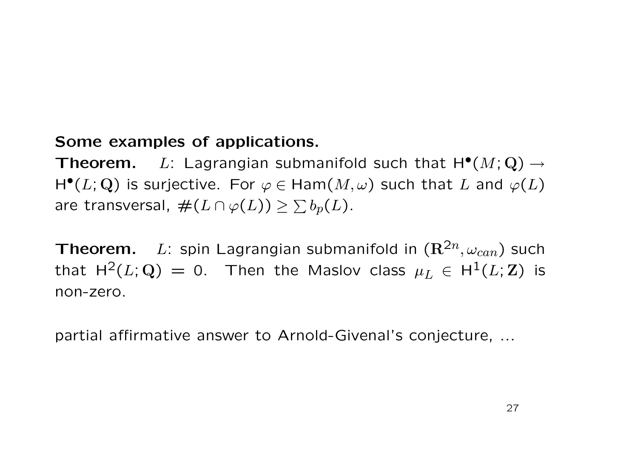#### **Some examples of applications.**

**Theorem.** *L*: Lagrangian submanifold such that H*•*(*M*; **Q**) *→*  $H^{\bullet}(L; \mathbf{Q})$  is surjective. For  $\varphi \in \text{Ham}(M, \omega)$  such that *L* and  $\varphi(L)$ are transversal,  $\#(L \cap \varphi(L)) \geq \sum b_p(L)$ .

**Theorem.** *L*: spin Lagrangian submanifold in  $(\mathbb{R}^{2n}, \omega_{can})$  such that  $H^2(L; Q) = 0$ . Then the Maslov class  $\mu_L \in H^1(L; Z)$  is non-zero.

partial affirmative answer to Arnold-Givenal's conjecture, ...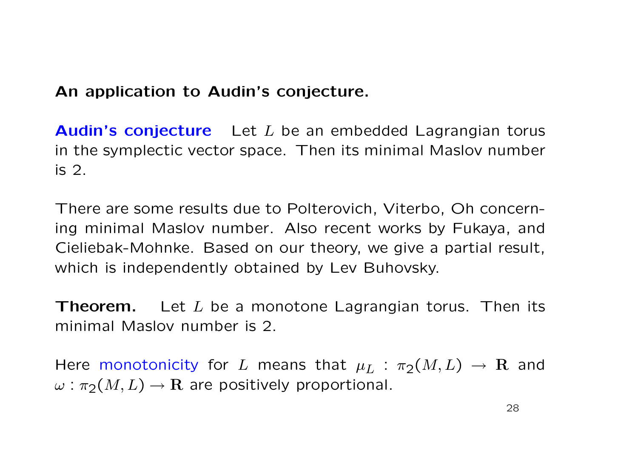#### **An application to Audin's conjecture.**

**Audin's conjecture** Let *L* be an embedded Lagrangian torus in the symplectic vector space. Then its minimal Maslov number is 2.

There are some results due to Polterovich, Viterbo, Oh concerning minimal Maslov number. Also recent works by Fukaya, and Cieliebak-Mohnke. Based on our theory, we give a partial result, which is independently obtained by Lev Buhovsky.

**Theorem.** Let *L* be a monotone Lagrangian torus. Then its minimal Maslov number is 2.

Here monotonicity for *L* means that  $\mu_L$  :  $\pi_2(M, L) \rightarrow \mathbf{R}$  and  $\omega$  :  $\pi_2(M, L) \rightarrow \mathbf{R}$  are positively proportional.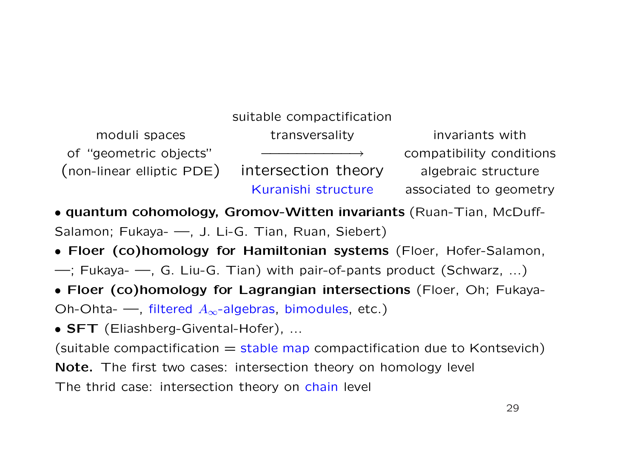## suitable compactification moduli spaces The transversality and transversion invariants with of "geometric objects" *−−−−−−−−−−→* compatibility conditions (non-linear elliptic PDE) intersection theory algebraic structure Kuranishi structure associated to geometry

*•* **quantum cohomology, Gromov-Witten invariants** (Ruan-Tian, McDuff-Salamon; Fukaya- —, J. Li-G. Tian, Ruan, Siebert)

- *•* **Floer (co)homology for Hamiltonian systems** (Floer, Hofer-Salamon,
- —; Fukaya- —, G. Liu-G. Tian) with pair-of-pants product (Schwarz, ...)

*•* **Floer (co)homology for Lagrangian intersections** (Floer, Oh; Fukaya-

Oh-Ohta- —, filtered *A∞*-algebras, bimodules, etc.)

*•* **SFT** (Eliashberg-Givental-Hofer), ...

(suitable compactification  $=$  stable map compactification due to Kontsevich)

**Note.** The first two cases: intersection theory on homology level

The thrid case: intersection theory on chain level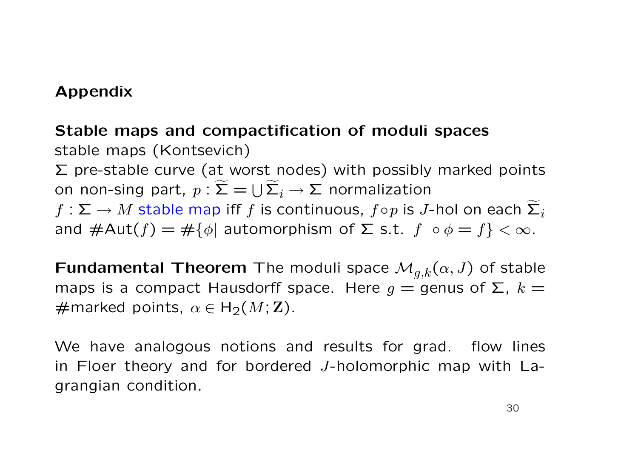#### **Appendix**

#### **Stable maps and compactification of moduli spaces**

stable maps (Kontsevich)  $\Sigma$  pre-stable curve (at worst nodes) with possibly marked points on non-sing part,  $p: \Sigma = \cup \Sigma_i \rightarrow \Sigma$  normalization  $f: \Sigma \to M$  stable map iff *f* is continuous,  $f \circ p$  is *J*-hol on each  $\widetilde{\Sigma}_i$ and  $#Aut(f) = #{\phi}$  automorphism of  $\Sigma$  s.t.  $f \circ \phi = f$  <  $\infty$ .

**Fundamental Theorem** The moduli space  $\mathcal{M}_{q,k}(\alpha, J)$  of stable maps is a compact Hausdorff space. Here  $g =$  genus of  $\Sigma$ ,  $k =$  $\#$ marked points,  $\alpha \in H_2(M; \mathbb{Z})$ .

We have analogous notions and results for grad. flow lines in Floer theory and for bordered *J*-holomorphic map with Lagrangian condition.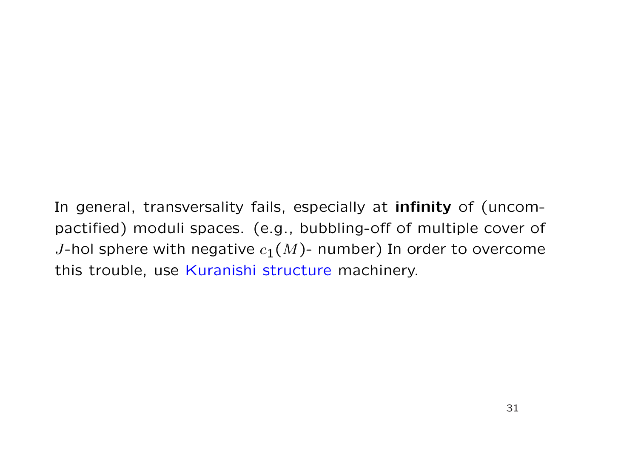In general, transversality fails, especially at **infinity** of (uncompactified) moduli spaces. (e.g., bubbling-off of multiple cover of *J*-hol sphere with negative  $c_1(M)$ - number) In order to overcome this trouble, use Kuranishi structure machinery.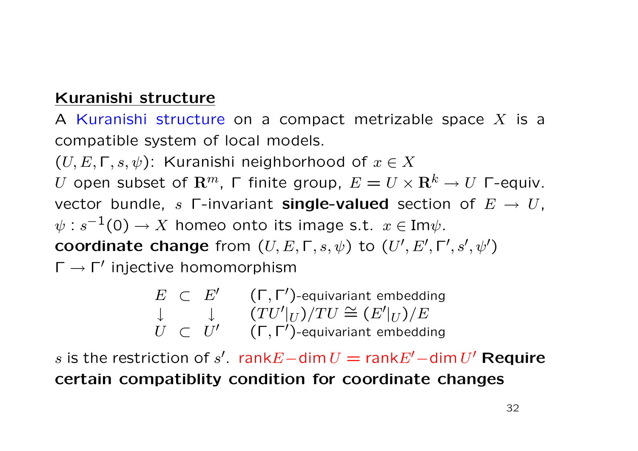#### **Kuranishi structure**

A Kuranishi structure on a compact metrizable space *X* is a compatible system of local models.

 $(U, E, \Gamma, s, \psi)$ : Kuranishi neighborhood of  $x \in X$ *U* open subset of  $\mathbf{R}^m$ , Γ finite group,  $E = U \times \mathbf{R}^k \rightarrow U$  Γ-equiv. vector bundle, *s* Γ-invariant **single-valued** section of *E → U*,  $\psi$  :  $s^{-1}(0) \to X$  homeo onto its image s.t.  $x \in \text{Im}\psi$ . **coordinate change** from  $(U, E, \Gamma, s, \psi)$  to  $(U', E', \Gamma', s', \psi')$ Γ *→* Γ*<sup>0</sup>* injective homomorphism

> $E \subset E' \subset (\Gamma, \Gamma')$ -equivariant embedding *↓*  $(TU'|U)/TU \cong (E'|U)/E$  $\dot{U}$  *⊂*  $\dot{U}'$  (Γ, Γ')-equivariant embedding

 $s$  is the restriction of  $s'$ . rank $E-$ dim  $U = \text{rank } E' - \text{dim } U'$  Require **certain compatiblity condition for coordinate changes**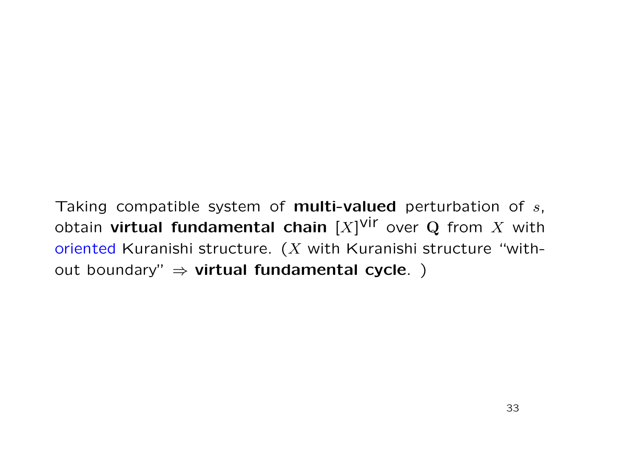Taking compatible system of **multi-valued** perturbation of *s*, obtain **virtual fundamental chain** [*X*] vir over **Q** from *X* with oriented Kuranishi structure. (*X* with Kuranishi structure "without boundary" *⇒* **virtual fundamental cycle**. )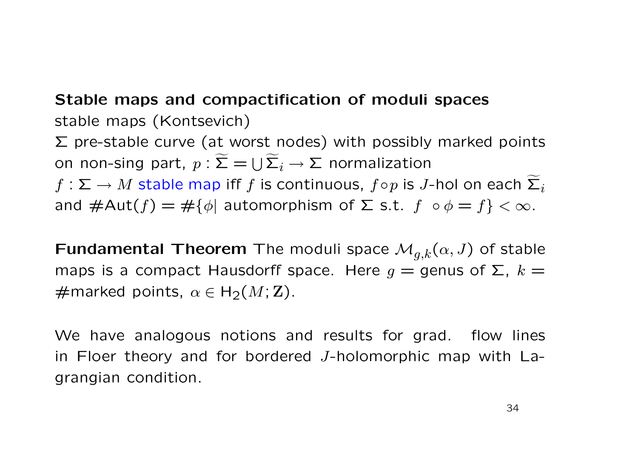## **Stable maps and compactification of moduli spaces** stable maps (Kontsevich)

 $\Sigma$  pre-stable curve (at worst nodes) with possibly marked points on non-sing part,  $p: \Sigma = \bigcup \Sigma_i \rightarrow \Sigma$  normalization

 $f: \Sigma \to M$  stable map iff *f* is continuous,  $f \circ p$  is *J*-hol on each  $\widetilde{\Sigma}_i$ and  $\#\text{Aut}(f) = \#\{\phi | \text{ automorphism of } \Sigma \text{ s.t. } f \circ \phi = f\} < \infty.$ 

**Fundamental Theorem** The moduli space  $\mathcal{M}_{q,k}(\alpha, J)$  of stable maps is a compact Hausdorff space. Here  $g =$  genus of  $\Sigma$ ,  $k =$  $\#$ marked points,  $\alpha \in H_2(M; \mathbb{Z})$ .

We have analogous notions and results for grad. flow lines in Floer theory and for bordered *J*-holomorphic map with Lagrangian condition.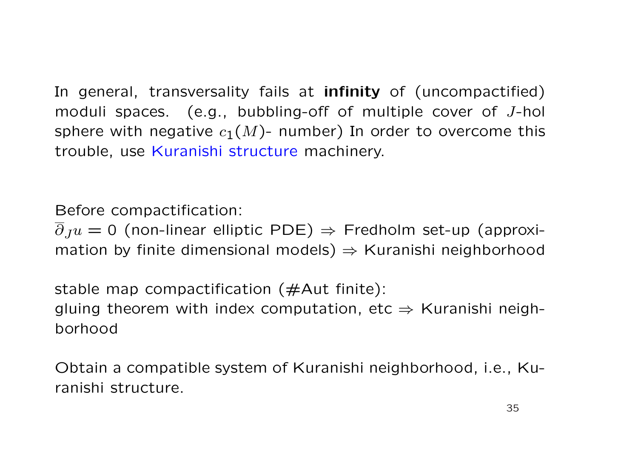In general, transversality fails at **infinity** of (uncompactified) moduli spaces. (e.g., bubbling-off of multiple cover of *J*-hol sphere with negative  $c_1(M)$ - number) In order to overcome this trouble, use Kuranishi structure machinery.

Before compactification:

*∂Ju* = 0 (non-linear elliptic PDE) *⇒* Fredholm set-up (approximation by finite dimensional models) *⇒* Kuranishi neighborhood

stable map compactification ( $\#$ Aut finite): gluing theorem with index computation, etc *⇒* Kuranishi neighborhood

Obtain a compatible system of Kuranishi neighborhood, i.e., Kuranishi structure.